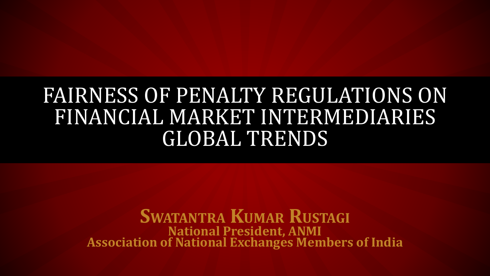## FAIRNESS OF PENALTY REGULATIONS ON FINANCIAL MARKET INTERMEDIARIES GLOBAL TRENDS

**SWATANTRA KUMAR RUSTAGI National President, ANMI Association of National Exchanges Members of India**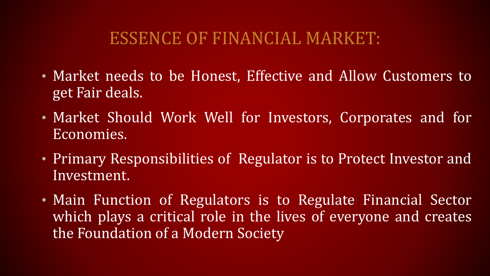#### ESSENCE OF FINANCIAL MARKET:

- Market needs to be Honest, Effective and Allow Customers to get Fair deals.
- Market Should Work Well for Investors, Corporates and for Economies.
- Primary Responsibilities of Regulator is to Protect Investor and Investment.
- Main Function of Regulators is to Regulate Financial Sector which plays a critical role in the lives of everyone and creates the Foundation of a Modern Society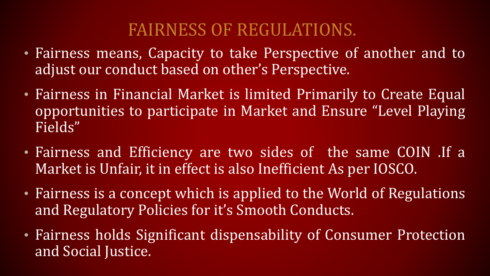#### FAIRNESS OF REGULATIONS.

- Fairness means, Capacity to take Perspective of another and to adjust our conduct based on other's Perspective.
- Fairness in Financial Market is limited Primarily to Create Equal opportunities to participate in Market and Ensure "Level Playing Fields"
- Fairness and Efficiency are two sides of the same COIN .If a Market is Unfair, it in effect is also Inefficient As per IOSCO.
- Fairness is a concept which is applied to the World of Regulations and Regulatory Policies for it's Smooth Conducts.
- Fairness holds Significant dispensability of Consumer Protection and Social Justice.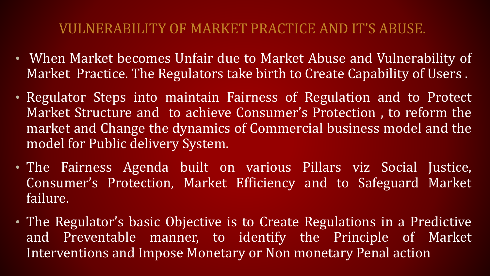#### VULNERABILITY OF MARKET PRACTICE AND IT'S ABUSE.

- When Market becomes Unfair due to Market Abuse and Vulnerability of Market Practice. The Regulators take birth to Create Capability of Users .
- Regulator Steps into maintain Fairness of Regulation and to Protect Market Structure and to achieve Consumer's Protection , to reform the market and Change the dynamics of Commercial business model and the model for Public delivery System.
- The Fairness Agenda built on various Pillars viz Social Justice, Consumer's Protection, Market Efficiency and to Safeguard Market failure.
- The Regulator's basic Objective is to Create Regulations in a Predictive and Preventable manner, to identify the Principle of Market Interventions and Impose Monetary or Non monetary Penal action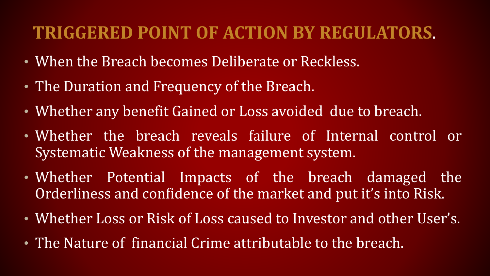#### **TRIGGERED POINT OF ACTION BY REGULATORS**.

- When the Breach becomes Deliberate or Reckless.
- The Duration and Frequency of the Breach.
- Whether any benefit Gained or Loss avoided due to breach.
- Whether the breach reveals failure of Internal control or Systematic Weakness of the management system.
- Whether Potential Impacts of the breach damaged the Orderliness and confidence of the market and put it's into Risk.
- Whether Loss or Risk of Loss caused to Investor and other User's.
- The Nature of financial Crime attributable to the breach.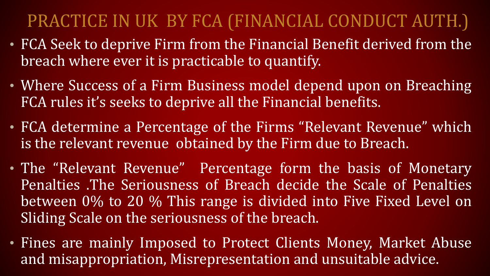### PRACTICE IN UK BY FCA (FINANCIAL CONDUCT AUTH.)

- FCA Seek to deprive Firm from the Financial Benefit derived from the breach where ever it is practicable to quantify.
- Where Success of a Firm Business model depend upon on Breaching FCA rules it's seeks to deprive all the Financial benefits.
- FCA determine a Percentage of the Firms "Relevant Revenue" which is the relevant revenue obtained by the Firm due to Breach.
- The "Relevant Revenue" Percentage form the basis of Monetary Penalties .The Seriousness of Breach decide the Scale of Penalties between 0% to 20 % This range is divided into Five Fixed Level on Sliding Scale on the seriousness of the breach.
- Fines are mainly Imposed to Protect Clients Money, Market Abuse and misappropriation, Misrepresentation and unsuitable advice.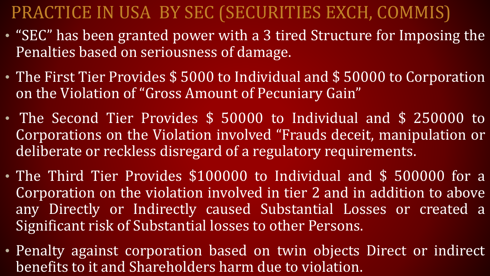### PRACTICE IN USA BY SEC (SECURITIES EXCH, COMMIS)

- "SEC" has been granted power with a 3 tired Structure for Imposing the Penalties based on seriousness of damage.
- The First Tier Provides \$ 5000 to Individual and \$ 50000 to Corporation on the Violation of "Gross Amount of Pecuniary Gain"
- The Second Tier Provides \$ 50000 to Individual and \$ 250000 to Corporations on the Violation involved "Frauds deceit, manipulation or deliberate or reckless disregard of a regulatory requirements.
- The Third Tier Provides \$100000 to Individual and \$ 500000 for a Corporation on the violation involved in tier 2 and in addition to above any Directly or Indirectly caused Substantial Losses or created a Significant risk of Substantial losses to other Persons.
- Penalty against corporation based on twin objects Direct or indirect benefits to it and Shareholders harm due to violation.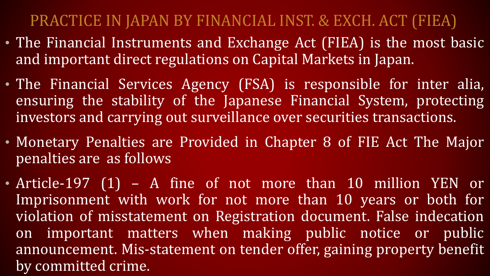#### PRACTICE IN JAPAN BY FINANCIAL INST. & EXCH. ACT (FIEA)

- The Financial Instruments and Exchange Act (FIEA) is the most basic and important direct regulations on Capital Markets in Japan.
- The Financial Services Agency (FSA) is responsible for inter alia, ensuring the stability of the Japanese Financial System, protecting investors and carrying out surveillance over securities transactions.
- Monetary Penalties are Provided in Chapter 8 of FIE Act The Major penalties are as follows
- Article-197 (1) A fine of not more than 10 million YEN or Imprisonment with work for not more than 10 years or both for violation of misstatement on Registration document. False indecation on important matters when making public notice or public announcement. Mis-statement on tender offer, gaining property benefit by committed crime.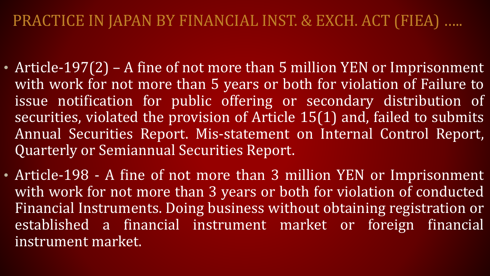- Article-197(2) A fine of not more than 5 million YEN or Imprisonment with work for not more than 5 years or both for violation of Failure to issue notification for public offering or secondary distribution of securities, violated the provision of Article 15(1) and, failed to submits Annual Securities Report. Mis-statement on Internal Control Report, Quarterly or Semiannual Securities Report.
- Article-198 A fine of not more than 3 million YEN or Imprisonment with work for not more than 3 years or both for violation of conducted Financial Instruments. Doing business without obtaining registration or established a financial instrument market or foreign financial instrument market.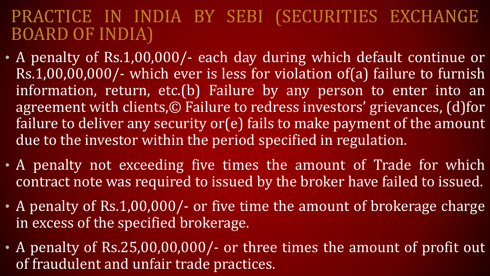#### PRACTICE IN INDIA BY SEBI (SECURITIES EXCHANGE BOARD OF INDIA)

- A penalty of Rs. 1,00,000/- each day during which default continue or Rs.1,00,00,000/- which ever is less for violation of(a) failure to furnish information, return, etc.(b) Failure by any person to enter into an agreement with clients,© Failure to redress investors' grievances, (d)for failure to deliver any security or(e) fails to make payment of the amount due to the investor within the period specified in regulation.
- A penalty not exceeding five times the amount of Trade for which contract note was required to issued by the broker have failed to issued.
- A penalty of Rs.1,00,000/- or five time the amount of brokerage charge in excess of the specified brokerage.
- A penalty of Rs.25,00,00,000/- or three times the amount of profit out of fraudulent and unfair trade practices.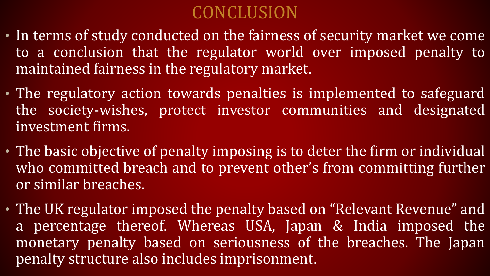### CONCLUSION

- In terms of study conducted on the fairness of security market we come to a conclusion that the regulator world over imposed penalty to maintained fairness in the regulatory market.
- The regulatory action towards penalties is implemented to safeguard the society-wishes, protect investor communities and designated investment firms.
- The basic objective of penalty imposing is to deter the firm or individual who committed breach and to prevent other's from committing further or similar breaches.
- The UK regulator imposed the penalty based on "Relevant Revenue" and a percentage thereof. Whereas USA, Japan & India imposed the monetary penalty based on seriousness of the breaches. The Japan penalty structure also includes imprisonment.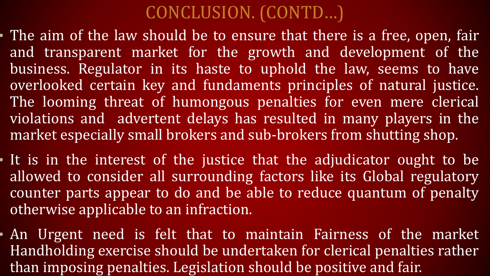### CONCLUSION. (CONTD…)

- The aim of the law should be to ensure that there is a free, open, fair and transparent market for the growth and development of the business. Regulator in its haste to uphold the law, seems to have overlooked certain key and fundaments principles of natural justice. The looming threat of humongous penalties for even mere clerical violations and advertent delays has resulted in many players in the market especially small brokers and sub-brokers from shutting shop.
- It is in the interest of the justice that the adjudicator ought to be allowed to consider all surrounding factors like its Global regulatory counter parts appear to do and be able to reduce quantum of penalty otherwise applicable to an infraction.
- An Urgent need is felt that to maintain Fairness of the market Handholding exercise should be undertaken for clerical penalties rather than imposing penalties. Legislation should be positive and fair.